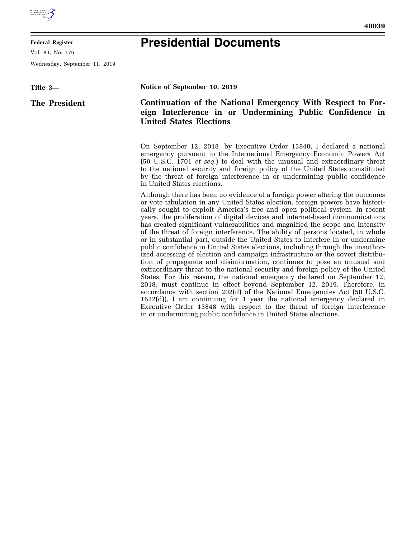

**Federal Register** 

Vol. 84, No. 176

Wednesday, September 11, 2019

## **Presidential Documents**

| Title 3-      | Notice of September 10, 2019                                                                                                                                                                                                                                                                                                                                                                                                                                                                                                                                                                                                                                                                                                                                                                                                                                                                                                                                                                                                                                                                                                                                                                                                                                                                                                                                                       |
|---------------|------------------------------------------------------------------------------------------------------------------------------------------------------------------------------------------------------------------------------------------------------------------------------------------------------------------------------------------------------------------------------------------------------------------------------------------------------------------------------------------------------------------------------------------------------------------------------------------------------------------------------------------------------------------------------------------------------------------------------------------------------------------------------------------------------------------------------------------------------------------------------------------------------------------------------------------------------------------------------------------------------------------------------------------------------------------------------------------------------------------------------------------------------------------------------------------------------------------------------------------------------------------------------------------------------------------------------------------------------------------------------------|
| The President | Continuation of the National Emergency With Respect to For-<br>eign Interference in or Undermining Public Confidence in<br><b>United States Elections</b>                                                                                                                                                                                                                                                                                                                                                                                                                                                                                                                                                                                                                                                                                                                                                                                                                                                                                                                                                                                                                                                                                                                                                                                                                          |
|               | On September 12, 2018, by Executive Order 13848, I declared a national<br>emergency pursuant to the International Emergency Economic Powers Act<br>(50 U.S.C. 1701 <i>et seq.</i> ) to deal with the unusual and extraordinary threat<br>to the national security and foreign policy of the United States constituted<br>by the threat of foreign interference in or undermining public confidence<br>in United States elections.                                                                                                                                                                                                                                                                                                                                                                                                                                                                                                                                                                                                                                                                                                                                                                                                                                                                                                                                                  |
|               | Although there has been no evidence of a foreign power altering the outcomes<br>or vote tabulation in any United States election, foreign powers have histori-<br>cally sought to exploit America's free and open political system. In recent<br>years, the proliferation of digital devices and internet-based communications<br>has created significant vulnerabilities and magnified the scope and intensity<br>of the threat of foreign interference. The ability of persons located, in whole<br>or in substantial part, outside the United States to interfere in or undermine<br>public confidence in United States elections, including through the unauthor-<br>ized accessing of election and campaign infrastructure or the covert distribu-<br>tion of propaganda and disinformation, continues to pose an unusual and<br>extraordinary threat to the national security and foreign policy of the United<br>States. For this reason, the national emergency declared on September 12,<br>2018, must continue in effect beyond September 12, 2019. Therefore, in<br>accordance with section 202(d) of the National Emergencies Act (50 U.S.C.<br>1622(d)), I am continuing for 1 year the national emergency declared in<br>Executive Order 13848 with respect to the threat of foreign interference<br>in or undermining public confidence in United States elections. |